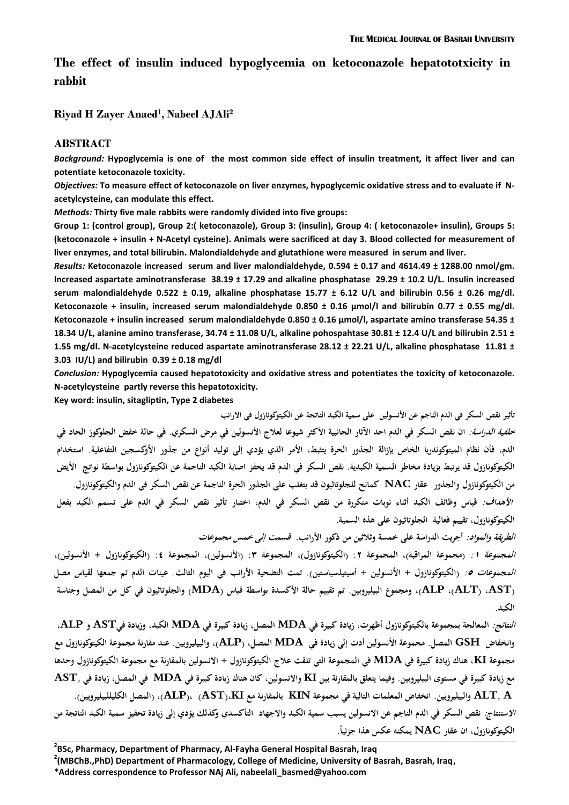# **The effect of insulin induced hypoglycemia on ketoconazole hepatototxicity in rabbit**

**Riyad H Zayer Anaed<sup>1</sup> , Nabeel AJAli<sup>2</sup>**

#### **ABSTRACT**

*Background:* **Hypoglycemia is one of the most common side effect of insulin treatment, it affect liver and can potentiate ketoconazole toxicity.** 

*Objectives:* **To measure effect of ketoconazole on liver enzymes, hypoglycemic oxidative stress and to evaluate if Nacetylcysteine, can modulate this effect.**

*Methods:* **Thirty five male rabbits were randomly divided into five groups:**

**Group 1: (control group), Group 2:( ketoconazole), Group 3: (insulin), Group 4: ( ketoconazole+ insulin), Groups 5: (ketoconazole + insulin + N-Acetyl cysteine). Animals were sacrificed at day 3. Blood collected for measurement of liver enzymes, and total bilirubin. Malondialdehyde and glutathione were measured in serum and liver.**

*Results:* **Ketoconazole increased serum and liver malondialdehyde, 0.594 ± 0.17 and 4614.49 ± 1288.00 nmol/gm. Increased aspartate aminotransferase 38.19 ± 17.29 and alkaline phosphatase 29.29 ± 10.2 U/L. Insulin increased serum malondialdehyde 0.522 ± 0.19, alkaline phosphatase 15.77 ± 6.12 U/L and bilirubin 0.56 ± 0.26 mg/dl. Ketoconazole + insulin, increased serum malondialdehyde 0.850 ± 0.16 µmol/l and bilirubin 0.77 ± 0.55 mg/dl. Ketoconazole + insulin increased serum malondialdehyde 0.850 ± 0.16 µmol/l, aspartate amino transferase 54.35 ± 18.34 U/L, alanine amino transferase, 34.74 ± 11.08 U/L, alkaline pohospahtase 30.81 ± 12.4 U/L and bilirubin 2.51 ± 1.55 mg/dl. N-acetylcysteine reduced aspartate aminotransferase 28.12 ± 22.21 U/L, alkaline phosphatase 11.81 ± 3.03 IU/L) and bilirubin 0.39 ± 0.18 mg/dl**

*Conclusion:* **Hypoglycemia caused hepatotoxicity and oxidative stress and potentiates the toxicity of ketoconazole. N-acetylcysteine partly reverse this hepatotoxicity.**

**Key word: insulin, sitagliptin, Type 2 diabetes**

**تأثير نقص السكر في الدم الناجم عن األنسولين على سمية الكبد الناتجة عن الكيتوكونازول في االرانب** *خلفية الدراسة:* ان نقص السكر في الدم احد الآثار الجانبية الأكثر شيوعا لعلاج الأنسولين في مرض السكري. في حالة خفض الجلوكوز الحاد في **الدم، فأن نظام الميتوكوندريا الخاص بإزالة الجذور الحرة يتثبط، األمر الذي يؤدي إلى توليد أنواع من جذور األوكسجين التفاعلية. استخدام** الكيتوكونازول قد يرتبط بزيادة مخاطر السمية الكبدية. نقص السكر في الدم قد يحفز اصابة الكبد الناجمة عن الكيتوكونازول بواسطة نواتج الأيض **من الكيتوكونازول والجذور. عقار NAC كمانح للجلوتاثيون قد يتغلب على الجذور الحرة الناجمة عن نقص السكر في الدم والكيتوكونازول.** *الأهداف:* قياس وظائف الكبد أثناء نوبات متكررة من نقص السكر في الدم، اختبار تأثير نقص السكر في الدم على تسمم الكبد بفعل **الكيتوكونازول، تقييم فعالية الجلوتاثيون على ىذه السمية.**

**الطريقة والمواد: أجريت الدراسة على خمسة وثالثين من ذكور األرانب. قسمت إلى خمس مجموعات المجموعة :1 )مجموعة المراقبة(، المجموعة :2 )الكيتوكونازول(، المجموعة :3 )األنسولين(، المجموعة :4 )الكيتوكونازول + األنسولين(، المجموعات :5 )الكيتوكونازول + األنسولين + أسيتيلسياستين(. تمت التضحية األرانب في اليوم الثالث. عينات الدم تم جمعها لقياس مصل**  (ALT) ، AST)، ومجموع البيليروبين. تم تقييم حالة الأكسدة بواسطة قياس (MDA) والجلوتاثيون في كل من المصل وجناسة **الكبد.**

*النتائج:* المعالجة بمجموعة بالكيتوكونازول أظهرت، زيادة كبيرة في MDA المصل، زيادة كبيرة في MDA الكبد، وزيادة فيAST و ALP. وانخفاض  $\bf S H$  المصل. مجموعة الأنسولين أدت إلى زيادة في  $\bf MDA$  المصل،  $\bf A$ (البطيروبين. عند مقارنة مجموعة الكيتوكونازول مع مجموعة KI، هناك زيادة كبيرة في MDA في المجموعة التي تلقت علاج الكيتوكونازول + الانسولين بالمقارنة مع مجموعة الكيتوكونازول وحدها مع زيادة كبيرة في مستوى البيليروبين. وفيما يتعلق بالمقارنة بين KI والانسولين، كان هناك زيادة كبيرة في MDA في المصل، زيادة في ,AST ALT, A والبيليروبين. انخفاض المعلمات التالية في مجموعة KIN بالمقارنة مع ALP)، (ALP)، (المصل الكليللبيليروبين). **االستنتاج: نقص السكر في الدم الناجم عن االنسولين يسبب سمية الكبد واالجهاد التأكسدي وكذلك يؤدي إلى زيادة تحفيز سمية الكبد الناتجة من ً الكيتوكونازول، ان عقار NAC يمكنو عكس ىذا جزئيا.**

**2 BSc, Pharmacy, Department of Pharmacy, Al-Fayha General Hospital Basrah, Iraq**

**2 (MBChB.,PhD) Department of Pharmacology, College of Medicine, University of Basrah, Basrah, Iraq,**

**\*Address correspondence to Professor NAj Ali, nabeelali\_basmed@yahoo.com**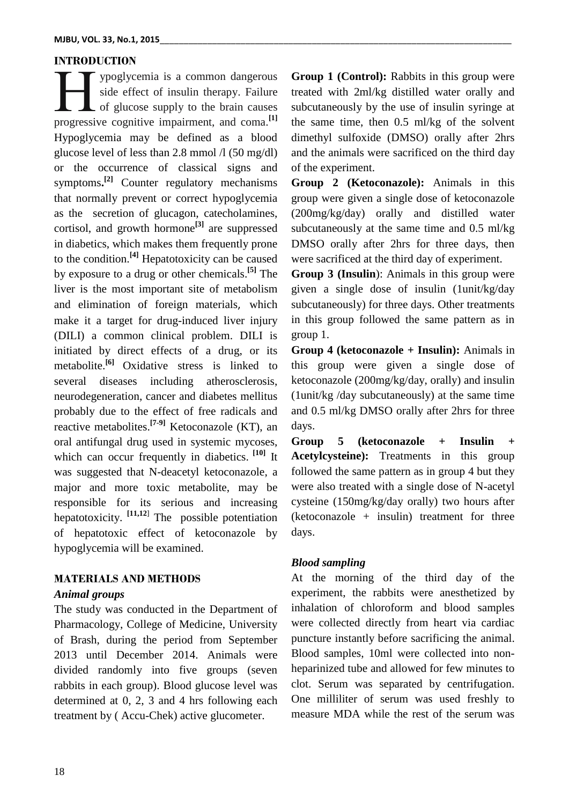## **INTRODUCTION**

ypoglycemia is a common dangerous side effect of insulin therapy. Failure Let of glucose supply to the brain causes proglycemia is a common dangerous<br>side effect of insulin therapy. Failure<br>progressive cognitive impairment, and coma.<sup>[1]</sup> Hypoglycemia may be defined as a blood glucose level of less than 2.8 mmol  $\lambda$  (50 mg/dl) or the occurrence of classical signs and symptoms**. [2]** Counter regulatory mechanisms that normally prevent or correct hypoglycemia as the secretion of glucagon, catecholamines, cortisol, and growth hormone**[3]** are suppressed in diabetics, which makes them frequently prone to the condition. **[4]** Hepatotoxicity can be caused by exposure to a drug or other chemicals. **[5]** The liver is the most important site of metabolism and elimination of foreign materials, which make it a target for drug-induced liver injury (DILI) a common clinical problem. DILI is initiated by direct effects of a drug, or its metabolite. **[6]** Oxidative stress is linked to several diseases including atherosclerosis, neurodegeneration, cancer and diabetes mellitus probably due to the effect of free radicals and reactive metabolites. **[7-9]** Ketoconazole (KT), an oral antifungal drug used in systemic mycoses, which can occur frequently in diabetics. <sup>[10]</sup> It was suggested that N-deacetyl ketoconazole, a major and more toxic metabolite, may be responsible for its serious and increasing hepatotoxicity. **[\[11,1](http://dmd.aspetjournals.org/search?author1=Rosita+J.+Rodriguez&sortspec=date&submit=Submit)2**] The possible potentiation of hepatotoxic effect of ketoconazole by hypoglycemia will be examined.

## **MATERIALS AND METHODS**

### *Animal groups*

The study was conducted in the Department of Pharmacology, College of Medicine, University of Brash, during the period from September 2013 until December 2014. Animals were divided randomly into five groups (seven rabbits in each group). Blood glucose level was determined at 0, 2, 3 and 4 hrs following each treatment by ( Accu-Chek) active glucometer.

**Group 1 (Control):** Rabbits in this group were treated with 2ml/kg distilled water orally and subcutaneously by the use of insulin syringe at the same time, then 0.5 ml/kg of the solvent dimethyl sulfoxide (DMSO) orally after 2hrs and the animals were sacrificed on the third day of the experiment.

**Group 2 (Ketoconazole):** Animals in this group were given a single dose of ketoconazole (200mg/kg/day) orally and distilled water subcutaneously at the same time and 0.5 ml/kg DMSO orally after 2hrs for three days, then were sacrificed at the third day of experiment.

**Group 3 (Insulin**): Animals in this group were given a single dose of insulin (1unit/kg/day subcutaneously) for three days. Other treatments in this group followed the same pattern as in group 1.

**Group 4 (ketoconazole + Insulin):** Animals in this group were given a single dose of ketoconazole (200mg/kg/day, orally) and insulin (1unit/kg /day subcutaneously) at the same time and 0.5 ml/kg DMSO orally after 2hrs for three days.

**Group 5 (ketoconazole + Insulin + Acetylcysteine):** Treatments in this group followed the same pattern as in group 4 but they were also treated with a single dose of N-acetyl cysteine (150mg/kg/day orally) two hours after  $(ketocoonazole + insulin) treatment for three$ days.

## *Blood sampling*

At the morning of the third day of the experiment, the rabbits were anesthetized by inhalation of chloroform and blood samples were collected directly from heart via cardiac puncture instantly before sacrificing the animal. Blood samples, 10ml were collected into nonheparinized tube and allowed for few minutes to clot. Serum was separated by centrifugation. One milliliter of serum was used freshly to measure MDA while the rest of the serum was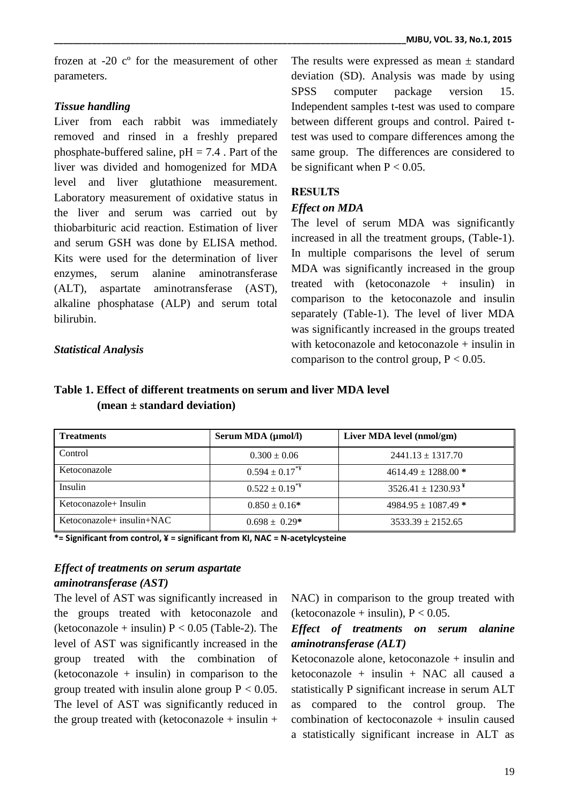frozen at -20 cº for the measurement of other parameters.

### *Tissue handling*

Liver from each rabbit was immediately removed and rinsed in a freshly prepared phosphate-buffered saline,  $pH = 7.4$ . Part of the liver was divided and homogenized for MDA level and liver glutathione measurement. Laboratory measurement of oxidative status in the liver and serum was carried out by thiobarbituric acid reaction. Estimation of liver and serum GSH was done by ELISA method. Kits were used for the determination of liver enzymes, serum alanine aminotransferase (ALT), aspartate aminotransferase (AST), alkaline phosphatase (ALP) and serum total bilirubin.

*Statistical Analysis*

The results were expressed as mean  $\pm$  standard deviation (SD). Analysis was made by using SPSS computer package version 15. Independent samples t-test was used to compare between different groups and control. Paired ttest was used to compare differences among the same group. The differences are considered to be significant when  $P < 0.05$ .

## **RESULTS**

### *Effect on MDA*

The level of serum MDA was significantly increased in all the treatment groups, (Table-1). In multiple comparisons the level of serum MDA was significantly increased in the group treated with (ketoconazole + insulin) in comparison to the ketoconazole and insulin separately (Table-1). The level of liver MDA was significantly increased in the groups treated with ketoconazole and ketoconazole + insulin in comparison to the control group,  $P < 0.05$ .

## **Table 1. Effect of different treatments on serum and liver MDA level (mean ± standard deviation)**

| <b>Treatments</b>              | Serum MDA (µmol/l)             | Liver MDA level (nmol/gm)          |
|--------------------------------|--------------------------------|------------------------------------|
| Control                        | $0.300 \pm 0.06$               | $2441.13 \pm 1317.70$              |
| Ketoconazole                   | $0.594 \pm 0.17$ <sup>**</sup> | $4614.49 \pm 1288.00$ *            |
| Insulin                        | $0.522 \pm 0.19^{*4}$          | $3526.41 \pm 1230.93$ <sup>¥</sup> |
| Ketoconazole+ Insulin          | $0.850 \pm 0.16*$              | $4984.95 \pm 1087.49$ *            |
| Ketoconazole + insulin + $NAC$ | $0.698 \pm 0.29^*$             | $3533.39 \pm 2152.65$              |

**\*= Significant from control, ¥ = significant from KI, NAC = N-acetylcysteine**

## *Effect of treatments on serum aspartate aminotransferase (AST)*

The level of AST was significantly increased in the groups treated with ketoconazole and (ketoconazole + insulin)  $P < 0.05$  (Table-2). The level of AST was significantly increased in the group treated with the combination of  $(ketocoonazole + insulin)$  in comparison to the group treated with insulin alone group  $P < 0.05$ . The level of AST was significantly reduced in the group treated with (ketoconazole + insulin +

NAC) in comparison to the group treated with (ketoconazole + insulin),  $P < 0.05$ .

## *Effect of treatments on serum alanine aminotransferase (ALT)*

Ketoconazole alone, ketoconazole + insulin and ketoconazole + insulin + NAC all caused a statistically P significant increase in serum ALT as compared to the control group. The combination of kectoconazole + insulin caused a statistically significant increase in ALT as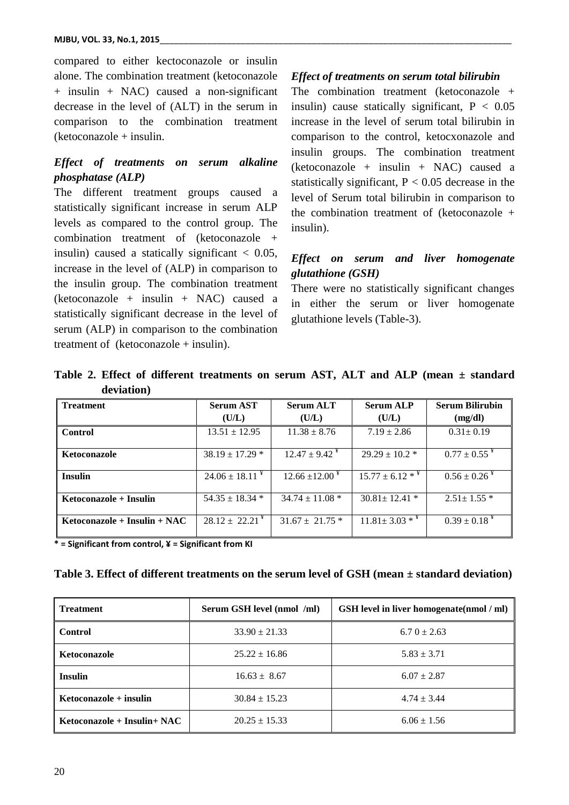compared to either kectoconazole or insulin alone. The combination treatment (ketoconazole + insulin + NAC) caused a non-significant decrease in the level of (ALT) in the serum in comparison to the combination treatment (ketoconazole + insulin.

## *Effect of treatments on serum alkaline phosphatase (ALP)*

The different treatment groups caused a statistically significant increase in serum ALP levels as compared to the control group. The combination treatment of (ketoconazole + insulin) caused a statically significant  $< 0.05$ , increase in the level of (ALP) in comparison to the insulin group. The combination treatment  $(ketocoonazole + insulin + NAC) caused a$ statistically significant decrease in the level of serum (ALP) in comparison to the combination treatment of (ketoconazole + insulin).

### *Effect of treatments on serum total bilirubin*

The combination treatment (ketoconazole + insulin) cause statically significant,  $P < 0.05$ increase in the level of serum total bilirubin in comparison to the control, ketocxonazole and insulin groups. The combination treatment  $(ketoconazole + insulin + NAC) caused a$ statistically significant,  $P < 0.05$  decrease in the level of Serum total bilirubin in comparison to the combination treatment of (ketoconazole + insulin).

## *Effect on serum and liver homogenate glutathione (GSH)*

There were no statistically significant changes in either the serum or liver homogenate glutathione levels (Table-3).

| <b>Treatment</b>               | <b>Serum AST</b>                       | <b>Serum ALT</b>                | <b>Serum ALP</b>                | <b>Serum Bilirubin</b>        |  |
|--------------------------------|----------------------------------------|---------------------------------|---------------------------------|-------------------------------|--|
|                                | (U/L)                                  | (U/L)                           | (U/L)                           | (mg/dl)                       |  |
| <b>Control</b>                 | $13.51 \pm 12.95$                      | $11.38 \pm 8.76$                | $7.19 \pm 2.86$                 | $0.31 \pm 0.19$               |  |
| <b>Ketoconazole</b>            | $38.19 \pm 17.29$ *                    | $12.47 \pm 9.42^*$              | $29.29 \pm 10.2$ *              | $0.77 \pm 0.55$ <sup>¥</sup>  |  |
| <b>Insulin</b>                 | $24.06 \pm 18.11^*$                    | $12.66 \pm 12.00^{\frac{1}{2}}$ | $15.77 \pm 6.12$ * <sup>*</sup> | $0.56 \pm 0.26$ <sup>¥</sup>  |  |
| Ketoconazole + Insulin         | $54.35 \pm 18.34$ *                    | $34.74 \pm 11.08$ *             | $30.81 \pm 12.41$ *             | $2.51 \pm 1.55$ *             |  |
| $Ketoconazole + Insulin + NAC$ | $28.12 \pm 22.21^{\frac{\text{V}}{2}}$ | $31.67 \pm 21.75$ *             | $11.81 \pm 3.03$ * <sup>*</sup> | $0.39 \pm 0.18^{\frac{1}{2}}$ |  |

**Table 2. Effect of different treatments on serum AST, ALT and ALP (mean ± standard deviation)**

**\* = Significant from control, ¥ = Significant from KI**

|  |  |  | Table 3. Effect of different treatments on the serum level of $GSH$ (mean $\pm$ standard deviation) |  |
|--|--|--|-----------------------------------------------------------------------------------------------------|--|
|  |  |  |                                                                                                     |  |

| <b>Treatment</b>               | Serum GSH level (nmol /ml) | <b>GSH</b> level in liver homogenate(nmol / ml) |  |
|--------------------------------|----------------------------|-------------------------------------------------|--|
| <b>Control</b>                 | $33.90 \pm 21.33$          | $6.70 \pm 2.63$                                 |  |
| Ketoconazole                   | $25.22 \pm 16.86$          | $5.83 \pm 3.71$                                 |  |
| <b>Insulin</b>                 | $16.63 \pm 8.67$           | $6.07 \pm 2.87$                                 |  |
| $Ketoconazole + insulin$       | $30.84 \pm 15.23$          | $4.74 \pm 3.44$                                 |  |
| Ketoconazole + Insulin + $NAC$ | $20.25 \pm 15.33$          | $6.06 \pm 1.56$                                 |  |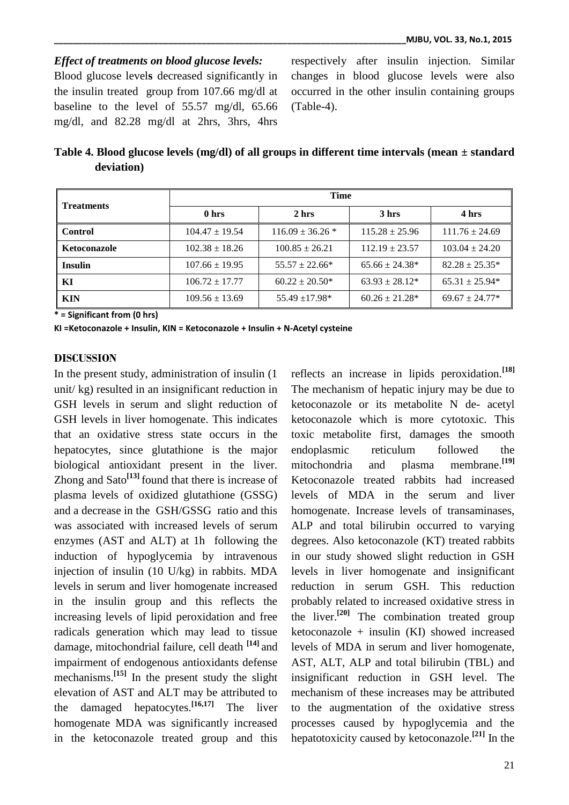*Effect of treatments on blood glucose levels:* Blood glucose level**s** decreased significantly in the insulin treated group from 107.66 mg/dl at baseline to the level of 55.57 mg/dl, 65.66 mg/dl, and 82.28 mg/dl at 2hrs, 3hrs, 4hrs

respectively after insulin injection. Similar changes in blood glucose levels were also occurred in the other insulin containing groups (Table-4).

| Table 4. Blood glucose levels (mg/dl) of all groups in different time intervals (mean $\pm$ standard |  |  |
|------------------------------------------------------------------------------------------------------|--|--|
| deviation)                                                                                           |  |  |

| <b>Treatments</b> | <b>Time</b>        |                      |                     |                    |  |
|-------------------|--------------------|----------------------|---------------------|--------------------|--|
|                   | 0 hrs              | 2 hrs                | 3 hrs               | 4 hrs              |  |
| <b>Control</b>    | $104.47 \pm 19.54$ | $116.09 \pm 36.26$ * | $115.28 \pm 25.96$  | $111.76 \pm 24.69$ |  |
| Ketoconazole      | $102.38 \pm 18.26$ | $100.85 \pm 26.21$   | $112.19 \pm 23.57$  | $103.04 \pm 24.20$ |  |
| <b>Insulin</b>    | $107.66 \pm 19.95$ | $55.57 \pm 22.66*$   | $65.66 \pm 24.38^*$ | $82.28 \pm 25.35*$ |  |
| KІ                | $106.72 + 17.77$   | $60.22 \pm 20.50^*$  | $63.93 + 28.12*$    | $65.31 \pm 25.94*$ |  |
| <b>KIN</b>        | $109.56 \pm 13.69$ | $55.49 + 17.98*$     | $60.26 \pm 21.28^*$ | $69.67 + 24.77*$   |  |

**\* = Significant from (0 hrs)**

**KI =Ketoconazole + Insulin, KIN = Ketoconazole + Insulin + N-Acetyl cysteine**

#### **DISCUSSION**

In the present study, administration of insulin (1 unit/ kg) resulted in an insignificant reduction in GSH levels in serum and slight reduction of GSH levels in liver homogenate. This indicates that an oxidative stress state occurs in the hepatocytes, since glutathione is the major biological antioxidant present in the liver. Zhong and Sato**[13]** found that there is increase of plasma levels of oxidized glutathione (GSSG) and a decrease in the GSH/GSSG ratio and this was associated with increased levels of serum enzymes (AST and ALT) at 1h following the induction of hypoglycemia by intravenous injection of insulin (10 U/kg) in rabbits. MDA levels in serum and liver homogenate increased in the insulin group and this reflects the increasing levels of lipid peroxidation and free radicals generation which may lead to tissue damage, mitochondrial failure, cell death **[14]** and impairment of endogenous antioxidants defense mechanisms.**[15]** In the present study the slight elevation of AST and ALT may be attributed to the damaged hepatocytes.**[16,17]** The liver homogenate MDA was significantly increased in the ketoconazole treated group and this

reflects an increase in lipids peroxidation.**[18]** The mechanism of hepatic injury may be due to ketoconazole or its metabolite N de- acetyl ketoconazole which is more cytotoxic. This toxic metabolite first, damages the smooth endoplasmic reticulum followed the mitochondria and plasma membrane.**[19]** Ketoconazole treated rabbits had increased levels of MDA in the serum and liver homogenate. Increase levels of transaminases, ALP and total bilirubin occurred to varying degrees. Also ketoconazole (KT) treated rabbits in our study showed slight reduction in GSH levels in liver homogenate and insignificant reduction in serum GSH. This reduction probably related to increased oxidative stress in the liver.**[20]** The combination treated group ketoconazole + insulin (KI) showed increased levels of MDA in serum and liver homogenate, AST, ALT, ALP and total bilirubin (TBL) and insignificant reduction in GSH level. The mechanism of these increases may be attributed to the augmentation of the oxidative stress processes caused by hypoglycemia and the hepatotoxicity caused by ketoconazole.**[21]** In the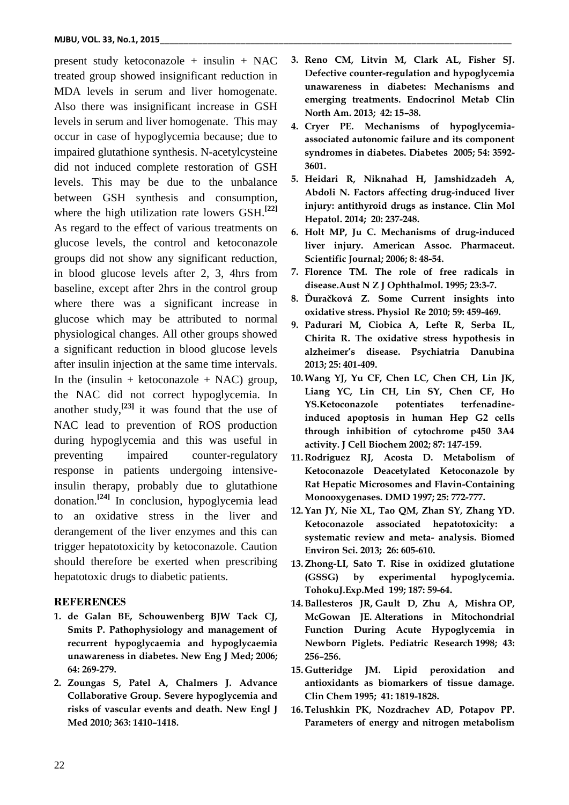present study ketoconazole + insulin + NAC treated group showed insignificant reduction in MDA levels in serum and liver homogenate. Also there was insignificant increase in GSH levels in serum and liver homogenate. This may occur in case of hypoglycemia because; due to impaired glutathione synthesis. N-acetylcysteine did not induced complete restoration of GSH levels. This may be due to the unbalance between GSH synthesis and consumption, where the high utilization rate lowers GSH.**[22]** As regard to the effect of various treatments on glucose levels, the control and ketoconazole groups did not show any significant reduction, in blood glucose levels after 2, 3, 4hrs from baseline, except after 2hrs in the control group where there was a significant increase in glucose which may be attributed to normal physiological changes. All other groups showed a significant reduction in blood glucose levels after insulin injection at the same time intervals. In the (insulin + ketoconazole + NAC) group, the NAC did not correct hypoglycemia. In another study,**[23]** it was found that the use of NAC lead to prevention of ROS production during hypoglycemia and this was useful in preventing impaired counter-regulatory response in patients undergoing intensiveinsulin therapy, probably due to glutathione donation.**[24]** In conclusion, hypoglycemia lead to an oxidative stress in the liver and derangement of the liver enzymes and this can trigger hepatotoxicity by ketoconazole. Caution should therefore be exerted when prescribing hepatotoxic drugs to diabetic patients.

#### **REFERENCES**

- **1. de Galan BE, Schouwenberg BJW Tack CJ, Smits P. Pathophysiology and management of recurrent hypoglycaemia and hypoglycaemia unawareness in diabetes. New Eng J Med; 2006; 64: 269-279.**
- **2. Zoungas S, Patel A, Chalmers J. Advance Collaborative Group. Severe hypoglycemia and risks of vascular events and death. New Engl J Med 2010; 363: 1410–1418.**
- **3. Reno CM, Litvin M, Clark AL, Fisher SJ. Defective counter-regulation and hypoglycemia unawareness in diabetes: Mechanisms and emerging treatments. Endocrinol Metab Clin North Am. 2013; 42: 15–38.**
- **4. [Cryer PE.](http://www.ncbi.nlm.nih.gov/pubmed?term=Cryer%20PE%5BAuthor%5D&cauthor=true&cauthor_uid=16306382) Mechanisms of hypoglycemiaassociated autonomic failure and its component syndromes in diabetes. [Diabetes](http://www.ncbi.nlm.nih.gov/pubmed/16306382) 2005; 54: 3592- 3601.**
- **5. Heidari R, Niknahad H, Jamshidzadeh A, Abdoli N. Factors affecting drug-induced liver injury: antithyroid drugs as instance. Clin Mol Hepatol. 2014; 20: 237-248.**
- **6. [Holt MP,](http://www.ncbi.nlm.nih.gov/pubmed/?term=Holt%20MP%5BAuthor%5D&cauthor=true&cauthor_uid=16584133) [Ju C.](http://www.ncbi.nlm.nih.gov/pubmed/?term=Ju%20C%5BAuthor%5D&cauthor=true&cauthor_uid=16584133) Mechanisms of drug-induced liver injury. American Assoc. Pharmaceut. Scientific Journal; 2006; 8: 48-54.**
- **7. Florence TM. The role of free radicals in disease.Aust N Z J Ophthalmol. 1995; 23:3-7.**
- **8. Ďuračková Z. Some Current insights into oxidative stress. Physiol Re 2010; 59: 459-469.**
- **9. Padurari M, Ciobica A, Lefte R, Serba IL, Chirita R. The oxidative stress hypothesis in alzheimer's disease. Psychiatria Danubina 2013; 25: 401-409.**
- **10.Wang YJ, Yu CF, Chen LC, Chen CH, Lin JK, Liang YC, Lin CH, Lin SY, Chen CF, Ho YS.Ketoconazole potentiates terfenadineinduced apoptosis in human Hep G2 cells through inhibition of cytochrome p450 3A4 activity. J Cell Biochem 2002; 87: 147-159.**
- **11. Rodriguez RJ, Acosta D. Metabolism of Ketoconazole Deacetylated Ketoconazole by Rat Hepatic Microsomes and Flavin-Containing Monooxygenases. DMD 1997; 25: 772-777.**
- **12.Yan JY, Nie XL, Tao QM, Zhan SY, Zhang YD. Ketoconazole associated hepatotoxicity: a systematic review and meta- analysis. Biomed Environ Sci. 2013; 26: 605-610.**
- **13.Zhong-LI, Sato T. Rise in oxidized glutatione (GSSG) by experimental hypoglycemia. TohokuJ.Exp.Med 199; 187: 59-64.**
- **14.Ballesteros JR, Gault D, Zhu A, Mishra OP, McGowan JE. Alterations in Mitochondrial Function During Acute Hypoglycemia in Newborn Piglets. Pediatric Research 1998; 43: 256–256.**
- **15. [Gutteridge JM.](http://www.ncbi.nlm.nih.gov/pubmed?term=Gutteridge%20JM%5BAuthor%5D&cauthor=true&cauthor_uid=7497639) Lipid peroxidation and antioxidants as biomarkers of tissue damage. Clin Chem 1995; 41: 1819-1828.**
- **16[.Telushkin PK,](http://www.ncbi.nlm.nih.gov/pubmed?term=Telushkin%20PK%5BAuthor%5D&cauthor=true&cauthor_uid=18663970) [Nozdrachev AD,](http://www.ncbi.nlm.nih.gov/pubmed?term=Nozdrachev%20AD%5BAuthor%5D&cauthor=true&cauthor_uid=18663970) [Potapov PP.](http://www.ncbi.nlm.nih.gov/pubmed?term=Potapov%20PP%5BAuthor%5D&cauthor=true&cauthor_uid=18663970) Parameters of energy and nitrogen metabolism**